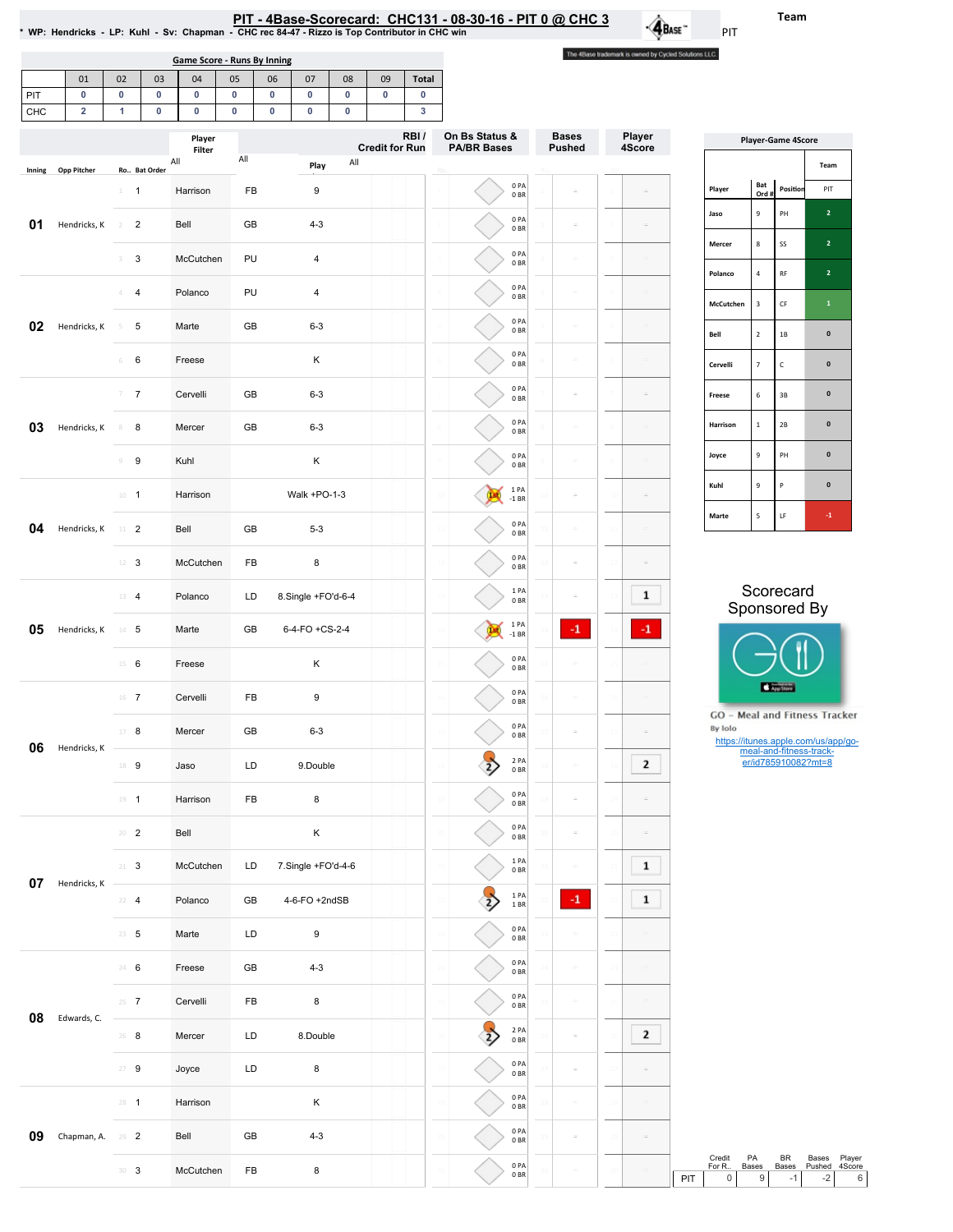# PIT-4Base-Scorecard:CHC131-08-30-16-PIT0@ CHC3 \*WP:Hendricks-LP:Kuhl-Sv:Chapman-CHCrec84-47-RizzoisTopContributorinCHCwin

01 02 03 04 05 06 07 08 09 Total

Game Score - Runs By Inning

The 4Base trademark is owned by Cycled Solutions LLC.

 $\cdot \hat{\mathbf{A}}_{\text{Base}}$ 

| PIT    | $\bf{0}$       | $\pmb{0}$      |                 | $\mathbf 0$ | $\bf{0}$                        | $\bf{0}$    |               | $\pmb{0}$   | $\pmb{0}$          | $\pmb{0}$          | $\pmb{0}$             |      | 0            |                                           |                               |                                        |                                                                           |                                 |                           |                                             |
|--------|----------------|----------------|-----------------|-------------|---------------------------------|-------------|---------------|-------------|--------------------|--------------------|-----------------------|------|--------------|-------------------------------------------|-------------------------------|----------------------------------------|---------------------------------------------------------------------------|---------------------------------|---------------------------|---------------------------------------------|
| CHC    | $\overline{2}$ | $\mathbf{1}$   |                 | $\mathbf 0$ | $\mathbf 0$<br>Player<br>Filter | $\mathbf 0$ |               | $\mathbf 0$ | $\pmb{0}$          | $\pmb{0}$          | <b>Credit for Run</b> | RBI/ | $\mathbf{3}$ | On Bs Status &<br><b>PA/BR Bases</b>      | <b>Bases</b><br><b>Pushed</b> | Player<br>Player-Game 4Score<br>4Score |                                                                           |                                 |                           |                                             |
| Inning | Opp Pitcher    |                | Ro Bat Order    | All         |                                 |             | All           |             | Play               | All                |                       |      |              |                                           |                               |                                        |                                                                           |                                 |                           | Team                                        |
|        |                | $1 \quad 1$    |                 |             | Harrison                        |             | FB            |             | 9                  |                    |                       |      |              | 0PA<br>0 BR                               | ċ                             |                                        | Player                                                                    | Bat<br>Ord #                    | Position                  | PIT                                         |
| 01     | Hendricks, K   | $\overline{2}$ | $\overline{2}$  |             | Bell                            |             | GB            |             | $4 - 3$            |                    |                       |      |              | 0PA<br>0 <sub>BR</sub>                    | Ò                             | $\equiv$                               | Jaso<br>Mercer                                                            | $\boldsymbol{9}$<br>8           | PH<br>SS                  | $\overline{2}$<br>$\overline{2}$            |
|        |                | 3              | $\sqrt{3}$      |             | McCutchen                       |             | PU            |             | 4                  |                    |                       |      |              | 0PA<br>0 <sub>BR</sub>                    | $\equiv$                      | $\equiv$                               | Polanco                                                                   | $\sqrt{4}$                      | RF                        | $\overline{2}$                              |
|        |                | 4              | $\overline{4}$  |             | Polanco                         |             | PU            |             | 4                  |                    |                       |      |              | 0PA<br>0 <sub>BR</sub>                    | ÷                             | $\hspace{0.1cm} = \hspace{0.1cm}$      | McCutchen                                                                 | $\mathsf 3$                     | $\mathsf{CF}$             | $\mathbf 1$                                 |
| 02     | Hendricks, K   | 5              | 5               |             | Marte                           |             | GB            |             | $6 - 3$            |                    |                       |      |              | 0PA<br>0B                                 | $\equiv$                      | $\equiv$                               | Bell                                                                      | $\mathbf 2$                     | $1\mathrm{B}$             | $\pmb{\mathsf{o}}$                          |
|        |                | 6              | 6               |             | Freese                          |             |               |             | Κ                  |                    |                       |      |              | 0PA<br>0B<br>0PA                          | $\equiv$                      | $\equiv$                               | Cervelli                                                                  | $\overline{7}$                  | $\mathsf{C}$              | $\pmb{0}$                                   |
|        |                | $7 -$          | $\overline{7}$  |             | Cervelli                        |             | GB            |             | $6 - 3$            |                    |                       |      |              | 0B<br>0PA                                 | $\equiv$                      | $\equiv$                               | Freese<br>Harrison                                                        | 6<br>$\mathbf 1$                | 3B<br>$2B$                | $\pmb{0}$<br>$\pmb{0}$                      |
| 03     | Hendricks, K   | 8<br>9         | 8<br>9          |             | Mercer<br>Kuhl                  |             | GB            |             | $6 - 3$<br>Κ       |                    |                       |      |              | 0 <sub>BR</sub><br>0PA                    | $\equiv$<br>c                 | $\equiv$<br>$\equiv$                   | Joyce                                                                     | $\boldsymbol{9}$                | PH                        | $\pmb{0}$                                   |
|        |                | $10 - 1$       |                 |             | Harrison                        |             |               |             | Walk +PO-1-3       |                    |                       |      |              | 0 <sub>BR</sub><br>1 PA                   | $\equiv$                      | $\equiv$                               | Kuhl                                                                      | $\boldsymbol{9}$                | $\mathsf{P}$              | $\pmb{0}$                                   |
| 04     | Hendricks, K   | $11 - 2$       |                 |             | Bell                            |             | GB            |             | $5 - 3$            |                    |                       |      |              | $-1$ BR<br>0PA<br>0BR                     | $\equiv$                      | $\equiv$                               | Marte                                                                     | 5                               | LF                        | $\cdot 1$                                   |
|        |                | $12 - 3$       |                 |             | McCutchen                       |             | FB            |             | 8                  |                    |                       |      |              | 0PA<br>0 <sub>BR</sub>                    | $\equiv$                      |                                        |                                                                           |                                 |                           |                                             |
|        |                |                | 13 4            |             | Polanco                         |             | LD            |             |                    | 8.Single +FO'd-6-4 |                       |      |              | 1 PA<br>0BR                               |                               | 1                                      |                                                                           |                                 | Scorecard<br>Sponsored By |                                             |
| 05     | Hendricks, K   | $14 -$         | 5               |             | Marte                           |             | GB            |             | 6-4-FO +CS-2-4     |                    |                       |      |              | 1 PA<br>$-1$ BR                           | $\cdot 1$                     | $-1$                                   |                                                                           |                                 |                           |                                             |
|        |                | $15 \t 6$      |                 |             | Freese                          |             |               |             | Κ                  |                    |                       |      |              | 0PA<br>0 BR                               | $\equiv$                      | $\equiv$                               |                                                                           |                                 |                           |                                             |
|        |                | $16$ 7         |                 |             | Cervelli                        |             | FB            |             | 9                  |                    |                       |      |              | 0PA<br>0 <sub>BR</sub>                    | $\equiv$                      |                                        | GO - Meal and Fitness Tracker                                             |                                 | App Store                 |                                             |
| 06     | Hendricks, K   | $17 - 8$       |                 |             | Mercer                          |             | GB            |             | $6 - 3$            |                    |                       |      |              | 0PA<br>0 <sub>BR</sub>                    | $\equiv$                      | $\equiv$                               | By Iolo<br>https://itunes.apple.com/us/app/go-<br>meal-and-fitness-track- |                                 |                           |                                             |
|        |                | 18 9           |                 |             | Jaso                            |             | LD            |             | 9.Double           |                    |                       |      |              | 2 PA<br>2,<br>0BR                         |                               | $\mathbf{2}$                           | er/id785910082?mt=8                                                       |                                 |                           |                                             |
|        |                |                | $19 - 1$        |             | Harrison                        |             | FB            |             | 8                  |                    |                       |      |              | $0$ PA<br>0 B R                           |                               |                                        |                                                                           |                                 |                           |                                             |
|        |                |                | $20 - 2$        |             | Bell                            |             |               |             | $\mathsf K$        |                    |                       |      |              | $0$ PA<br>0 B R<br>1 PA                   | $\equiv$                      | $\equiv$                               |                                                                           |                                 |                           |                                             |
| 07     | Hendricks, K   |                | $21 \t3$        |             | McCutchen                       |             | LD            |             |                    | 7.Single +FO'd-4-6 |                       |      |              | 0 <sub>BR</sub><br>1 PA                   | $\equiv$                      | $\mathbf{1}$                           |                                                                           |                                 |                           |                                             |
|        |                | $22 - 4$       | $23 - 5$        |             | Polanco<br>Marte                |             | GB<br>LD      |             | 4-6-FO +2ndSB<br>9 |                    |                       |      |              | $\overline{z}$<br>$1\,\mathrm{BR}$<br>0PA | $^{\rm -1}$<br>$\equiv$       | $\mathbf{1}$<br>$\equiv$               |                                                                           |                                 |                           |                                             |
|        |                |                | 24 6            |             | Freese                          |             | GB            |             | $4 - 3$            |                    |                       |      |              | 0 <sub>BR</sub><br>$0$ PA                 | $\equiv$                      | $\equiv$                               |                                                                           |                                 |                           |                                             |
|        |                |                | $25 - 7$        |             | Cervelli                        |             | FB            |             | 8                  |                    |                       |      |              | 0 B R<br>0PA<br>0 <sub>BR</sub>           | $\equiv$                      | $\equiv$                               |                                                                           |                                 |                           |                                             |
| 08     | Edwards, C.    |                | $26 - 8$        |             | Mercer                          |             | $\mathsf{LD}$ |             | 8.Double           |                    |                       |      |              | 2 PA<br>$\overline{2}$<br>0 BR            | $\equiv$                      | $\overline{2}$                         |                                                                           |                                 |                           |                                             |
|        |                | $27 - 9$       |                 |             | Joyce                           |             | LD            |             | 8                  |                    |                       |      |              | 0PA<br>0B                                 | $\equiv$                      | $\equiv$                               |                                                                           |                                 |                           |                                             |
|        |                | $28 - 1$       |                 |             | Harrison                        |             |               |             | Κ                  |                    |                       |      |              | $0$ PA<br>0 BR                            | $\equiv$                      | $\equiv$                               |                                                                           |                                 |                           |                                             |
| 09     | Chapman, A.    | 29 2           |                 |             | Bell                            |             | GB            |             | $4 - 3$            |                    |                       |      |              | 0PA<br>0 <sub>BR</sub>                    | $\equiv$                      | $\equiv$                               |                                                                           |                                 |                           |                                             |
|        |                |                | 30 <sup>3</sup> |             | McCutchen                       |             | FB            |             | 8                  |                    |                       |      |              | $0$ PA<br>0 B R                           |                               |                                        | Credit<br>For R<br>PIT<br>0                                               | PA<br>Bases<br>$\boldsymbol{9}$ | BR<br>Bases<br>$-1$       | Player<br>Bases<br>4Score<br>Pushed<br>$-2$ |

| <b>Player-Game 4Score</b> |                         |           |                         |  |  |  |  |  |  |  |
|---------------------------|-------------------------|-----------|-------------------------|--|--|--|--|--|--|--|
|                           |                         |           | Team                    |  |  |  |  |  |  |  |
| Player                    | Bat<br>Ord #            | Position  | PIT                     |  |  |  |  |  |  |  |
| Jaso                      | 9                       | PH        | $\overline{\mathbf{c}}$ |  |  |  |  |  |  |  |
| Mercer                    | 8                       | SS        | $\overline{a}$          |  |  |  |  |  |  |  |
| Polanco                   | $\overline{4}$          | <b>RF</b> | $\overline{\mathbf{c}}$ |  |  |  |  |  |  |  |
| McCutchen                 | $\overline{\mathbf{3}}$ | CF        | $\mathbf{1}$            |  |  |  |  |  |  |  |
| Bell                      | $\overline{2}$          | 1B        | $\mathbf{0}$            |  |  |  |  |  |  |  |
| Cervelli                  | 7                       | C         | $\mathbf{0}$            |  |  |  |  |  |  |  |
| Freese                    | 6                       | 3B        | $\mathbf{0}$            |  |  |  |  |  |  |  |
| Harrison                  | $\overline{1}$          | 2B        | $\mathbf{0}$            |  |  |  |  |  |  |  |
| Joyce                     | 9                       | PH        | $\mathbf{0}$            |  |  |  |  |  |  |  |
| Kuhl                      | $\overline{9}$          | P         | $\mathbf{0}$            |  |  |  |  |  |  |  |
| Marte                     | 5                       | LF        | $-1$                    |  |  |  |  |  |  |  |

### **Scorecard** Sponsored By



Team

PIT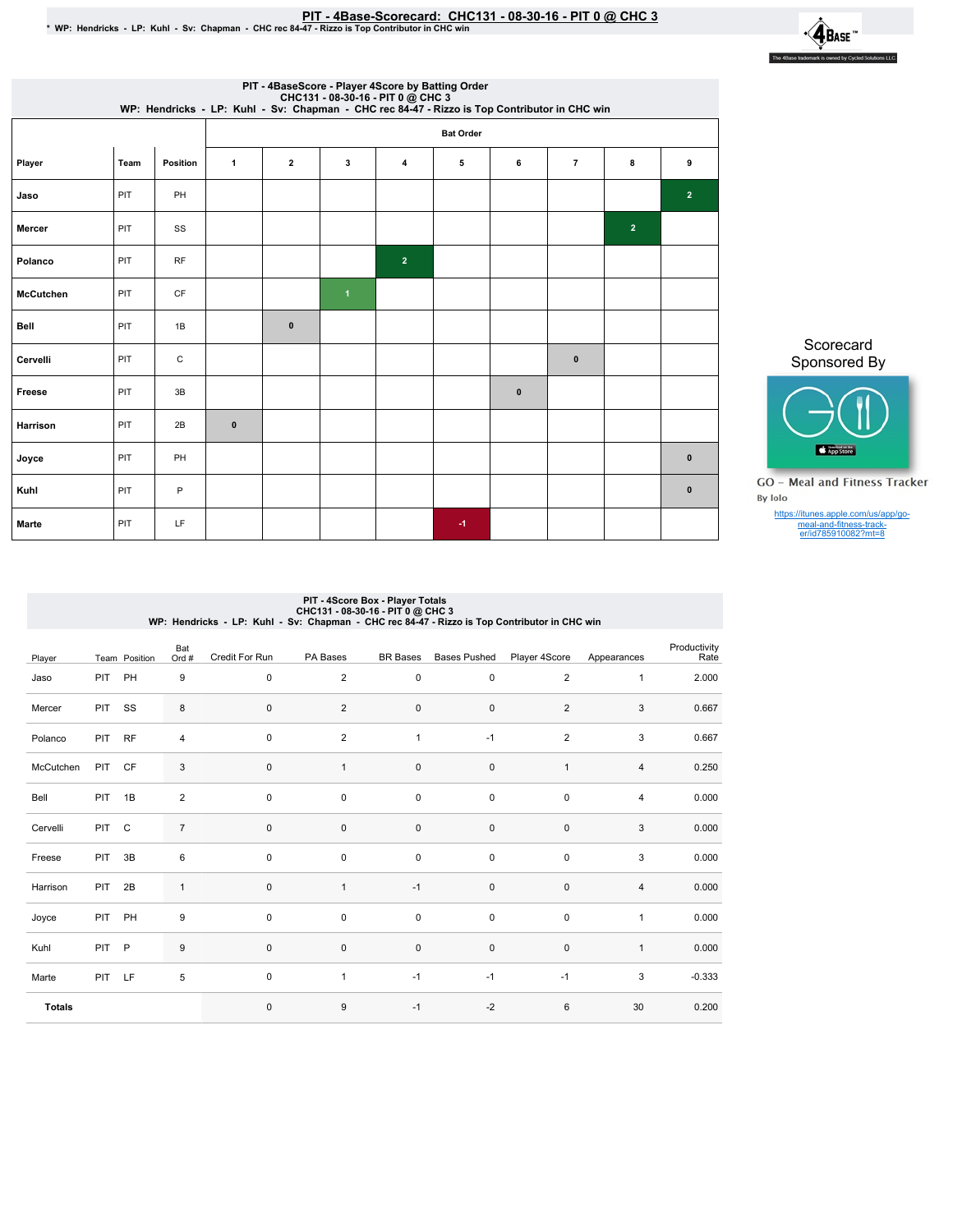# PIT-4Base-Scorecard:CHC131-08-30-16-PIT0@ CHC3 \*WP:Hendricks-LP:Kuhl-Sv:Chapman-CHCrec84-47-RizzoisTopContributorinCHCwin

 $\cdot \mathbf{Q}_{\text{Base}}$ The 4Base trademark is owned by Cycled Solutions LLC.

> Scorecard Sponsored By

> > App Store

**GO** - Meal and Fitness Tracker

By Iolo

https://itunes.apple.com/us/app/go-meal-and-fitness-track-er/id785910082?mt=8

| PIT - 4BaseScore - Player 4Score by Batting Order<br>CHC131 - 08-30-16 - PIT 0 @ CHC 3<br>WP: Hendricks - LP: Kuhl - Sv: Chapman - CHC rec 84-47 - Rizzo is Top Contributor in CHC win |      |           |              |                |                |                |                  |          |                |                |                |  |  |  |
|----------------------------------------------------------------------------------------------------------------------------------------------------------------------------------------|------|-----------|--------------|----------------|----------------|----------------|------------------|----------|----------------|----------------|----------------|--|--|--|
|                                                                                                                                                                                        |      |           |              |                |                |                | <b>Bat Order</b> |          |                |                |                |  |  |  |
| Player                                                                                                                                                                                 | Team | Position  | $\mathbf{1}$ | $\overline{2}$ | 3              | $\overline{4}$ | 5                | 6        | $\overline{7}$ | 8              | 9              |  |  |  |
| Jaso                                                                                                                                                                                   | PIT  | PH        |              |                |                |                |                  |          |                |                | 2 <sup>1</sup> |  |  |  |
| Mercer                                                                                                                                                                                 | PIT  | SS        |              |                |                |                |                  |          |                | $\overline{2}$ |                |  |  |  |
| Polanco                                                                                                                                                                                | PIT  | <b>RF</b> |              |                |                | $\overline{2}$ |                  |          |                |                |                |  |  |  |
| <b>McCutchen</b>                                                                                                                                                                       | PIT  | CF        |              |                | $\overline{1}$ |                |                  |          |                |                |                |  |  |  |
| Bell                                                                                                                                                                                   | PIT  | 1B        |              | $\mathbf{0}$   |                |                |                  |          |                |                |                |  |  |  |
| Cervelli                                                                                                                                                                               | PIT  | C         |              |                |                |                |                  |          | $\pmb{0}$      |                |                |  |  |  |
| Freese                                                                                                                                                                                 | PIT  | 3B        |              |                |                |                |                  | $\bf{0}$ |                |                |                |  |  |  |
| Harrison                                                                                                                                                                               | PIT  | 2B        | $\mathbf{0}$ |                |                |                |                  |          |                |                |                |  |  |  |
| Joyce                                                                                                                                                                                  | PIT  | PH        |              |                |                |                |                  |          |                |                | $\pmb{0}$      |  |  |  |
| Kuhl                                                                                                                                                                                   | PIT  | P         |              |                |                |                |                  |          |                |                | $\pmb{0}$      |  |  |  |
| <b>Marte</b>                                                                                                                                                                           | PIT  | LF        |              |                |                |                | $-1$             |          |                |                |                |  |  |  |

PIT - 4Score Box - Player Totals<br>CHC131 - 08-30-16 - PITO @ CHC3<br>WP: Hendricks - LP: Kuhl - Sv: Chapman - CHC rec 84-47 - Rizzo is Top Contributor in CHC win

| Player        |            | Team Position | Bat<br>Ord #   | Credit For Run | PA Bases       | <b>BR</b> Bases | <b>Bases Pushed</b> | Player 4Score  | Appearances  | Productivity<br>Rate |
|---------------|------------|---------------|----------------|----------------|----------------|-----------------|---------------------|----------------|--------------|----------------------|
| Jaso          | PIT        | PH            | 9              | 0              | 2              | $\mathbf 0$     | 0                   | 2              | $\mathbf{1}$ | 2.000                |
| Mercer        | PIT        | SS            | 8              | $\pmb{0}$      | $\overline{2}$ | $\mathbf 0$     | $\pmb{0}$           | $\overline{2}$ | 3            | 0.667                |
| Polanco       | PIT        | <b>RF</b>     | 4              | $\pmb{0}$      | $\overline{c}$ | $\mathbf{1}$    | $-1$                | $\overline{c}$ | 3            | 0.667                |
| McCutchen     | <b>PIT</b> | CF            | 3              | $\mathbf 0$    | $\mathbf{1}$   | $\mathbf 0$     | $\pmb{0}$           | $\mathbf{1}$   | 4            | 0.250                |
| Bell          | PIT        | 1B            | $\overline{c}$ | $\mathbf 0$    | $\pmb{0}$      | $\mathbf 0$     | 0                   | $\pmb{0}$      | 4            | 0.000                |
| Cervelli      | PIT C      |               | $\overline{7}$ | $\mathbf 0$    | $\pmb{0}$      | $\pmb{0}$       | $\pmb{0}$           | $\pmb{0}$      | 3            | 0.000                |
| Freese        | PIT        | 3B            | 6              | $\mathbf 0$    | $\pmb{0}$      | $\mathbf 0$     | $\pmb{0}$           | $\pmb{0}$      | 3            | 0.000                |
| Harrison      | PIT        | 2B            | $\mathbf{1}$   | $\mathbf 0$    | $\mathbf{1}$   | $-1$            | $\pmb{0}$           | $\pmb{0}$      | 4            | 0.000                |
| Joyce         | PIT        | PH            | 9              | $\mathbf 0$    | $\pmb{0}$      | $\mathbf 0$     | 0                   | $\pmb{0}$      | $\mathbf{1}$ | 0.000                |
| Kuhl          | PIT        | $\mathsf{P}$  | 9              | $\pmb{0}$      | $\pmb{0}$      | $\pmb{0}$       | $\pmb{0}$           | $\pmb{0}$      | $\mathbf{1}$ | 0.000                |
| Marte         | PIT        | LF            | 5              | $\pmb{0}$      | $\mathbf{1}$   | $-1$            | $-1$                | $-1$           | 3            | $-0.333$             |
| <b>Totals</b> |            |               |                | $\pmb{0}$      | 9              | $-1$            | $-2$                | 6              | 30           | 0.200                |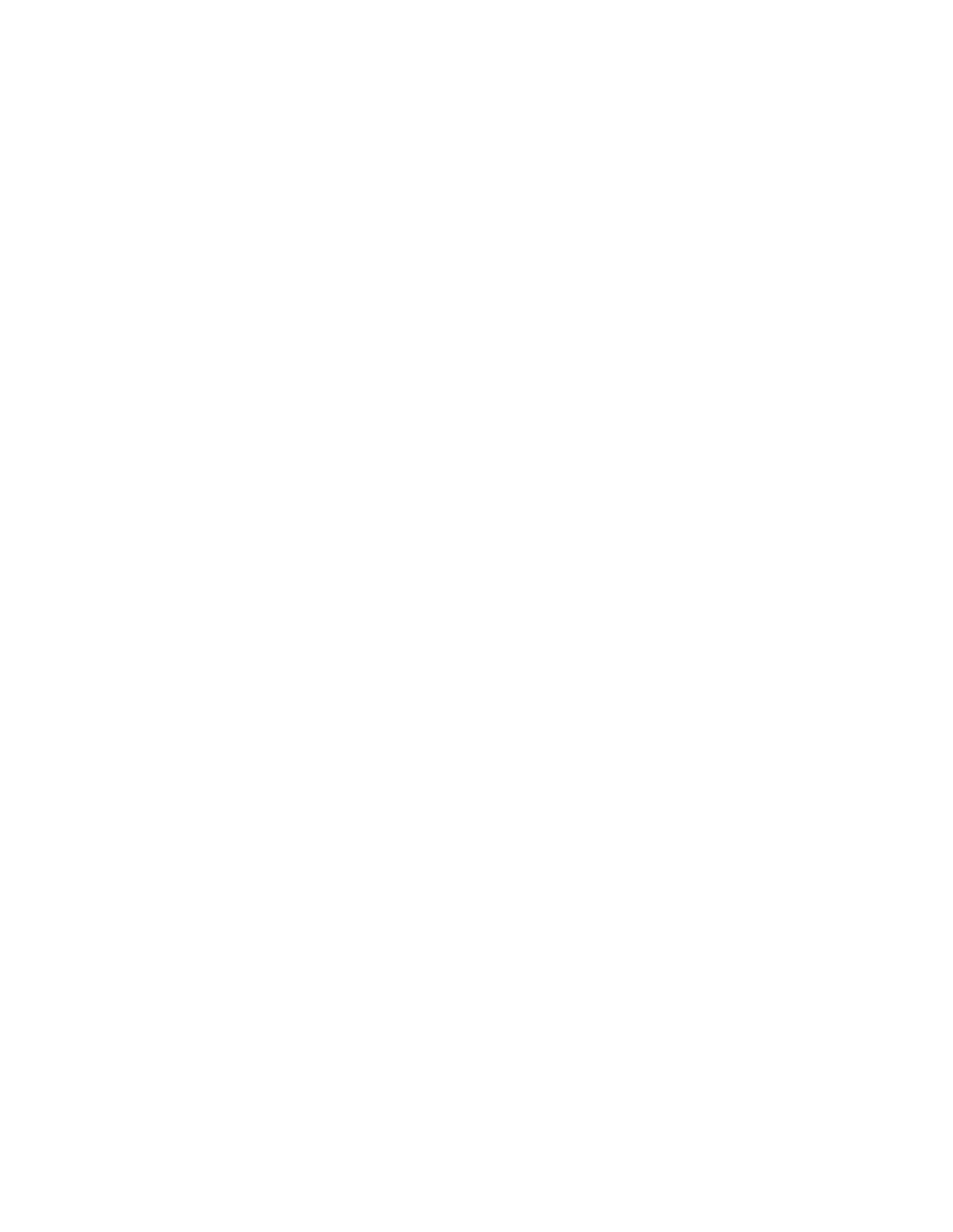| $\%$ DVH6FRUHFDLG $8+8$ |  |
|-------------------------|--|
| ----------------------- |  |

 $3,7$  #  $8+8$ 

| 3,7 %DVH6FRUH 300 HU 6FRUHE\ %DWLQJ 2 UGHU<br>$8 + 8$<br>$3,7$ # $8+8$<br>: $3 + HQGUFW$ / $3$ . XKO $6Y$ & KDSP DQ & + & U+<br>5 LJ R LV 7 RS & ROMMEXWRULQ & + & Z LQ |      |                              |  |           |  |  |  |  |  |  |  |  |
|-------------------------------------------------------------------------------------------------------------------------------------------------------------------------|------|------------------------------|--|-----------|--|--|--|--|--|--|--|--|
|                                                                                                                                                                         |      |                              |  | %DW2 UGHU |  |  |  |  |  |  |  |  |
| 300 HU                                                                                                                                                                  | 7HDP | 3 RVIMRQ                     |  |           |  |  |  |  |  |  |  |  |
| $- DVR$                                                                                                                                                                 | 3,7  | $3+$                         |  |           |  |  |  |  |  |  |  |  |
| 0 HJFHJ                                                                                                                                                                 | 3,7  | 66                           |  |           |  |  |  |  |  |  |  |  |
| 3 RODOFR                                                                                                                                                                | 3,7  | 5)                           |  |           |  |  |  |  |  |  |  |  |
| 0 F&XWFKHQ                                                                                                                                                              | 3,7  | &)                           |  |           |  |  |  |  |  |  |  |  |
| %HOD                                                                                                                                                                    | 3,7  | $\%$                         |  |           |  |  |  |  |  |  |  |  |
| & HUYHOOL                                                                                                                                                               | 3,7  | &                            |  |           |  |  |  |  |  |  |  |  |
| ) UHMH                                                                                                                                                                  | 3,7  | $\%$                         |  |           |  |  |  |  |  |  |  |  |
| $+$ DULIVRQ                                                                                                                                                             | 3,7  | $\%$                         |  |           |  |  |  |  |  |  |  |  |
| $-R\$ FH                                                                                                                                                                | 3,7  | $3+$                         |  |           |  |  |  |  |  |  |  |  |
| . XKO                                                                                                                                                                   | 3,7  | 3                            |  |           |  |  |  |  |  |  |  |  |
| 0 DUM                                                                                                                                                                   | 3,7  | $\left( \frac{1}{2} \right)$ |  |           |  |  |  |  |  |  |  |  |

6 FRUHFDUG 6 SRQ/RUHG%

<u>KWOSY WACHYDSSON FRP XVDSSJR</u><br>PHDCDQGILWOHAYWOFN<br><u>HULG "PW</u>

| 3,7 6 FRUH%R[ 300\HU7RW20V<br>$8 + 8$<br>$3.7$ # $8+8$<br>: 3 + HQGULFNV / 3 . XKO 6Y & KDSPDQ & + & U+F 5 LJ]RLV 7RS & RQMUEXWRULQ & + & ZLQ |                  |               |                        |                          |  |  |                                               |  |  |                    |  |  |  |
|-----------------------------------------------------------------------------------------------------------------------------------------------|------------------|---------------|------------------------|--------------------------|--|--|-----------------------------------------------|--|--|--------------------|--|--|--|
| 30 NU                                                                                                                                         |                  | 7HDP 3RVMLIRQ | %DW<br>$2 \, \text{L}$ | & UHGLV)/RU5XQ 3\$ %DVHV |  |  | %5 %DVHV %DVHV3XVKHG 300 NU6FRUH \$SSHDUDQFHV |  |  | 3 URGXFWYUW<br>5DM |  |  |  |
| $-D$ <sub><math>\overline{R}</math></sub>                                                                                                     | $3,7$ $3+$       |               |                        |                          |  |  |                                               |  |  |                    |  |  |  |
| 0 HJHJ                                                                                                                                        | 3.766            |               |                        |                          |  |  |                                               |  |  |                    |  |  |  |
| 3 RODOFR                                                                                                                                      | $3,7$ 5)         |               |                        |                          |  |  |                                               |  |  |                    |  |  |  |
| 0 F&XMFKHQ                                                                                                                                    | $3,7$ &)         |               |                        |                          |  |  |                                               |  |  |                    |  |  |  |
| %HO                                                                                                                                           | 3.7%             |               |                        |                          |  |  |                                               |  |  |                    |  |  |  |
| & HUYHOO                                                                                                                                      | $3.7\quad&\quad$ |               |                        |                          |  |  |                                               |  |  |                    |  |  |  |
| ) UHMH                                                                                                                                        | 3,7              | %             |                        |                          |  |  |                                               |  |  |                    |  |  |  |
| + DUILVRQ                                                                                                                                     | 3,7              | %             |                        |                          |  |  |                                               |  |  |                    |  |  |  |
| $-R$ FH                                                                                                                                       | $3,7$ $3+$       |               |                        |                          |  |  |                                               |  |  |                    |  |  |  |
| . XKO                                                                                                                                         | $3.7 \quad 3$    |               |                        |                          |  |  |                                               |  |  |                    |  |  |  |
| 0 DUM                                                                                                                                         | $3,7$ ()         |               |                        |                          |  |  |                                               |  |  |                    |  |  |  |
| 7RWDOV                                                                                                                                        |                  |               |                        |                          |  |  |                                               |  |  |                    |  |  |  |
|                                                                                                                                               |                  |               |                        |                          |  |  |                                               |  |  |                    |  |  |  |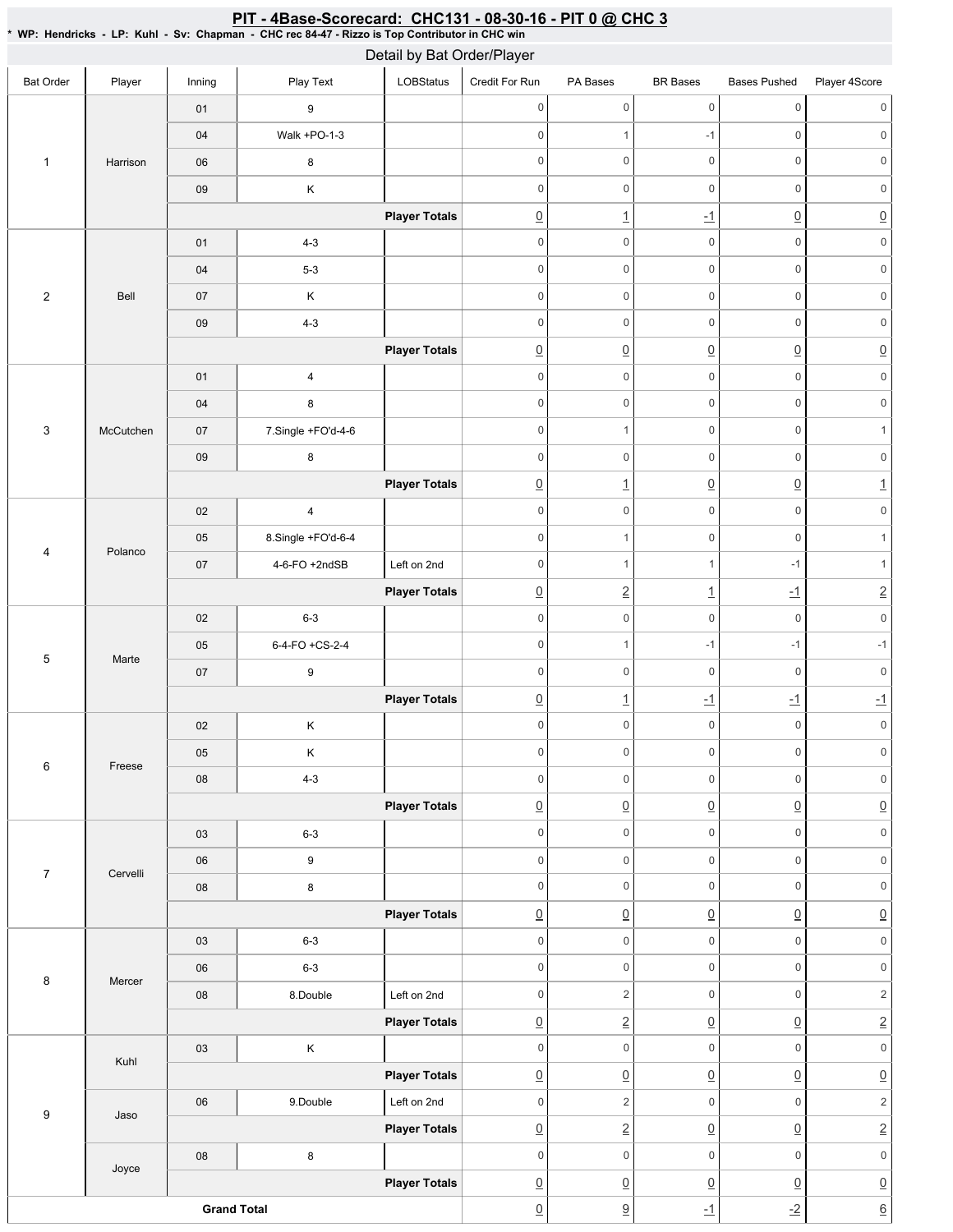#### Bat Order | Player | Inning | PlayText | LOBStatus Credit For Run PA Bases BR Bases Bases Pushed Player 4Score 1 Harrison 01 9 04 Walk+PO-1-3 06 8 09 K **Player Totals** 2 Bell 01 4-3 04 5-3 07 K 09 4-3 **Player Totals** 3 McCutchen 01 4 04 8 07 7.Single +FO'd-4-6 09 8 **Player Totals** 4 Polanco 02 4 05 8.Single +FO'd-6-4 07 | 4-6-FO +2ndSB | Left on 2nd **Player Totals** 5 Marte 02 6-3 05 6-4-FO + CS-2-4 07 9 **Player Totals** 6 Freese 02 K 05 K 08 4-3 **Player Totals** 7 Cervelli 03 6-3 06 9 08 8 **Player Totals** 8 Mercer 03 6-3 06 6-3 08 8.Double Left on 2nd **Player Totals** 9 Kuhl 03 K **Player Totals** Jaso 06 9.Double Left on 2nd **Player Totals** Joyce 08 8 **Player Totals Grand Total** 0 0 0 0 0 0 0 1 -1 0 0 0 0 0 0 0 0 0 0 0 0 0 0 0 1 -1 0 0 0 0 0 0 0 0 0 0 0 0 0 0 0 0 0 0 0 0 0 0 0 0 0 0 0 0 0 0 0 0 0 0 0 0 0 0 0 0 0 0 0 0 0 1 0 1 0 0 0 0 0 0  $\boxed{0}$  1  $\boxed{0}$   $\boxed{0}$  1 0 0 0 0 0 0 0 0 0 1 0 1  $1$  1  $-1$  1 1 0 2 1 -1 2 0 0 0 0 0 0 0  $1$  -1 -1 -1 -1 0 0 0 0 0 0 <u>0 | 1 | 1 | 1 |</u> 0 0 0 0 0 0 0 0 0 0 0 0 0 0 0 0 0 0  $\overline{0}$   $\overline{0}$   $\overline{0}$   $\overline{0}$   $\overline{0}$   $\overline{0}$   $\overline{0}$ 0 0 0 0 0 0 0 0 0 0 0 0 0 0 0 0 0 0 0 0 0 0 0 0 0 0 0 0 0 0 0 0 0 0 0 0 0 2 0 2 0 2 0 0 2 0 0 0 0 0 0  $\overline{0}$   $\overline{0}$   $\overline{0}$   $\overline{0}$   $\overline{0}$   $\overline{0}$   $\overline{0}$  $0 \qquad \qquad 2 \qquad \qquad 0 \qquad \qquad 0 \qquad \qquad 2$ 0 2 0 0 2 0 0 0 0 0 0 0 0 0 0 0 0 9 -1 -2 6 Detail by Bat Order/Player

## <u>PIT - 4Base-Scorecard: CHC131 - 08-30-16 - PIT 0 @ CHC 3</u>

\* WP: Hendricks-LP: Kuhl-Sv: Chapman-CHC rec 84-47 - Rizzo is Top Contributor in CHC win